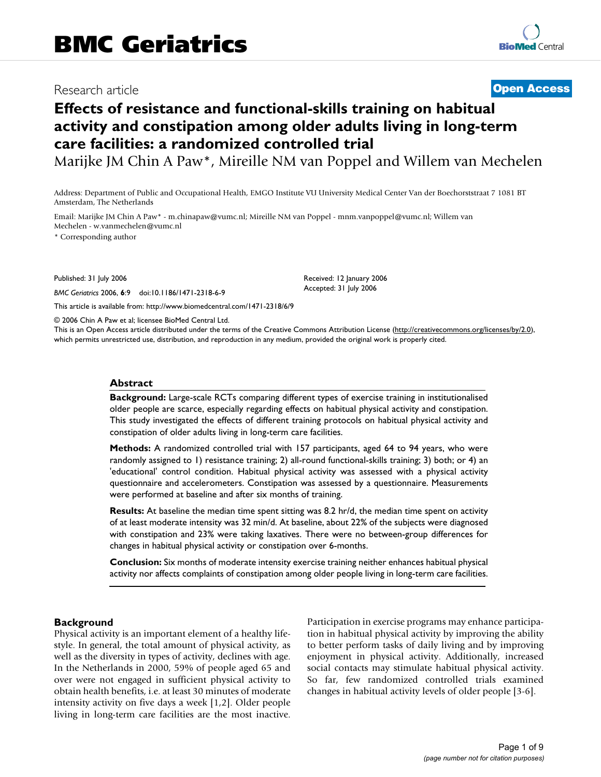# Research article **[Open Access](http://www.biomedcentral.com/info/about/charter/)**

# **Effects of resistance and functional-skills training on habitual activity and constipation among older adults living in long-term care facilities: a randomized controlled trial**

Marijke JM Chin A Paw\*, Mireille NM van Poppel and Willem van Mechelen

Address: Department of Public and Occupational Health, EMGO Institute VU University Medical Center Van der Boechorststraat 7 1081 BT Amsterdam, The Netherlands

Email: Marijke JM Chin A Paw\* - m.chinapaw@vumc.nl; Mireille NM van Poppel - mnm.vanpoppel@vumc.nl; Willem van Mechelen - w.vanmechelen@vumc.nl

\* Corresponding author

Published: 31 July 2006

*BMC Geriatrics* 2006, **6**:9 doi:10.1186/1471-2318-6-9

[This article is available from: http://www.biomedcentral.com/1471-2318/6/9](http://www.biomedcentral.com/1471-2318/6/9)

© 2006 Chin A Paw et al; licensee BioMed Central Ltd.

This is an Open Access article distributed under the terms of the Creative Commons Attribution License [\(http://creativecommons.org/licenses/by/2.0\)](http://creativecommons.org/licenses/by/2.0), which permits unrestricted use, distribution, and reproduction in any medium, provided the original work is properly cited.

Received: 12 January 2006 Accepted: 31 July 2006

#### **Abstract**

**Background:** Large-scale RCTs comparing different types of exercise training in institutionalised older people are scarce, especially regarding effects on habitual physical activity and constipation. This study investigated the effects of different training protocols on habitual physical activity and constipation of older adults living in long-term care facilities.

**Methods:** A randomized controlled trial with 157 participants, aged 64 to 94 years, who were randomly assigned to 1) resistance training; 2) all-round functional-skills training; 3) both; or 4) an 'educational' control condition. Habitual physical activity was assessed with a physical activity questionnaire and accelerometers. Constipation was assessed by a questionnaire. Measurements were performed at baseline and after six months of training.

**Results:** At baseline the median time spent sitting was 8.2 hr/d, the median time spent on activity of at least moderate intensity was 32 min/d. At baseline, about 22% of the subjects were diagnosed with constipation and 23% were taking laxatives. There were no between-group differences for changes in habitual physical activity or constipation over 6-months.

**Conclusion:** Six months of moderate intensity exercise training neither enhances habitual physical activity nor affects complaints of constipation among older people living in long-term care facilities.

# **Background**

Physical activity is an important element of a healthy lifestyle. In general, the total amount of physical activity, as well as the diversity in types of activity, declines with age. In the Netherlands in 2000, 59% of people aged 65 and over were not engaged in sufficient physical activity to obtain health benefits, i.e. at least 30 minutes of moderate intensity activity on five days a week [1,2]. Older people living in long-term care facilities are the most inactive. Participation in exercise programs may enhance participation in habitual physical activity by improving the ability to better perform tasks of daily living and by improving enjoyment in physical activity. Additionally, increased social contacts may stimulate habitual physical activity. So far, few randomized controlled trials examined changes in habitual activity levels of older people [3-6].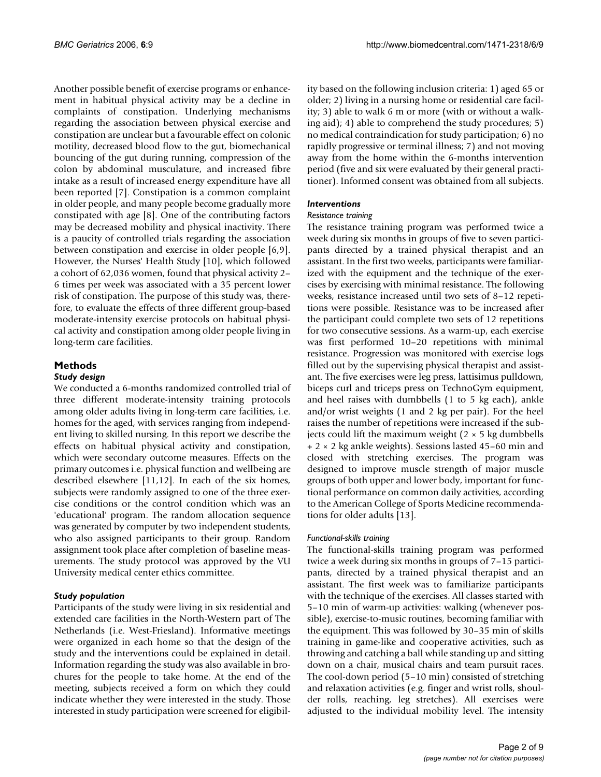Another possible benefit of exercise programs or enhancement in habitual physical activity may be a decline in complaints of constipation. Underlying mechanisms regarding the association between physical exercise and constipation are unclear but a favourable effect on colonic motility, decreased blood flow to the gut, biomechanical bouncing of the gut during running, compression of the colon by abdominal musculature, and increased fibre intake as a result of increased energy expenditure have all been reported [7]. Constipation is a common complaint in older people, and many people become gradually more constipated with age [8]. One of the contributing factors may be decreased mobility and physical inactivity. There is a paucity of controlled trials regarding the association between constipation and exercise in older people [6,9]. However, the Nurses' Health Study [10], which followed a cohort of 62,036 women, found that physical activity 2– 6 times per week was associated with a 35 percent lower risk of constipation. The purpose of this study was, therefore, to evaluate the effects of three different group-based moderate-intensity exercise protocols on habitual physical activity and constipation among older people living in long-term care facilities.

# **Methods**

#### *Study design*

We conducted a 6-months randomized controlled trial of three different moderate-intensity training protocols among older adults living in long-term care facilities, i.e. homes for the aged, with services ranging from independent living to skilled nursing. In this report we describe the effects on habitual physical activity and constipation, which were secondary outcome measures. Effects on the primary outcomes i.e. physical function and wellbeing are described elsewhere [11,12]. In each of the six homes, subjects were randomly assigned to one of the three exercise conditions or the control condition which was an 'educational' program. The random allocation sequence was generated by computer by two independent students, who also assigned participants to their group. Random assignment took place after completion of baseline measurements. The study protocol was approved by the VU University medical center ethics committee.

#### *Study population*

Participants of the study were living in six residential and extended care facilities in the North-Western part of The Netherlands (i.e. West-Friesland). Informative meetings were organized in each home so that the design of the study and the interventions could be explained in detail. Information regarding the study was also available in brochures for the people to take home. At the end of the meeting, subjects received a form on which they could indicate whether they were interested in the study. Those interested in study participation were screened for eligibility based on the following inclusion criteria: 1) aged 65 or older; 2) living in a nursing home or residential care facility; 3) able to walk 6 m or more (with or without a walking aid); 4) able to comprehend the study procedures; 5) no medical contraindication for study participation; 6) no rapidly progressive or terminal illness; 7) and not moving away from the home within the 6-months intervention period (five and six were evaluated by their general practitioner). Informed consent was obtained from all subjects.

#### *Interventions*

#### *Resistance training*

The resistance training program was performed twice a week during six months in groups of five to seven participants directed by a trained physical therapist and an assistant. In the first two weeks, participants were familiarized with the equipment and the technique of the exercises by exercising with minimal resistance. The following weeks, resistance increased until two sets of 8–12 repetitions were possible. Resistance was to be increased after the participant could complete two sets of 12 repetitions for two consecutive sessions. As a warm-up, each exercise was first performed 10–20 repetitions with minimal resistance. Progression was monitored with exercise logs filled out by the supervising physical therapist and assistant. The five exercises were leg press, lattisimus pulldown, biceps curl and triceps press on TechnoGym equipment, and heel raises with dumbbells (1 to 5 kg each), ankle and/or wrist weights (1 and 2 kg per pair). For the heel raises the number of repetitions were increased if the subjects could lift the maximum weight  $(2 \times 5 \text{ kg dumbbells})$  $+ 2 \times 2$  kg ankle weights). Sessions lasted 45–60 min and closed with stretching exercises. The program was designed to improve muscle strength of major muscle groups of both upper and lower body, important for functional performance on common daily activities, according to the American College of Sports Medicine recommendations for older adults [13].

#### *Functional-skills training*

The functional-skills training program was performed twice a week during six months in groups of 7–15 participants, directed by a trained physical therapist and an assistant. The first week was to familiarize participants with the technique of the exercises. All classes started with 5–10 min of warm-up activities: walking (whenever possible), exercise-to-music routines, becoming familiar with the equipment. This was followed by 30–35 min of skills training in game-like and cooperative activities, such as throwing and catching a ball while standing up and sitting down on a chair, musical chairs and team pursuit races. The cool-down period (5–10 min) consisted of stretching and relaxation activities (e.g. finger and wrist rolls, shoulder rolls, reaching, leg stretches). All exercises were adjusted to the individual mobility level. The intensity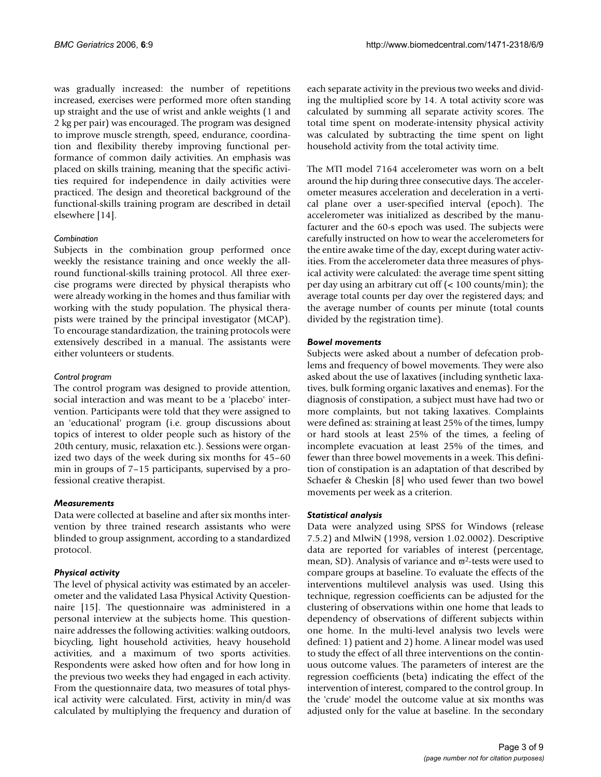was gradually increased: the number of repetitions increased, exercises were performed more often standing up straight and the use of wrist and ankle weights (1 and 2 kg per pair) was encouraged. The program was designed to improve muscle strength, speed, endurance, coordination and flexibility thereby improving functional performance of common daily activities. An emphasis was placed on skills training, meaning that the specific activities required for independence in daily activities were practiced. The design and theoretical background of the functional-skills training program are described in detail elsewhere [14].

## *Combination*

Subjects in the combination group performed once weekly the resistance training and once weekly the allround functional-skills training protocol. All three exercise programs were directed by physical therapists who were already working in the homes and thus familiar with working with the study population. The physical therapists were trained by the principal investigator (MCAP). To encourage standardization, the training protocols were extensively described in a manual. The assistants were either volunteers or students.

# *Control program*

The control program was designed to provide attention, social interaction and was meant to be a 'placebo' intervention. Participants were told that they were assigned to an 'educational' program (i.e. group discussions about topics of interest to older people such as history of the 20th century, music, relaxation etc.). Sessions were organized two days of the week during six months for 45–60 min in groups of 7–15 participants, supervised by a professional creative therapist.

# *Measurements*

Data were collected at baseline and after six months intervention by three trained research assistants who were blinded to group assignment, according to a standardized protocol.

# *Physical activity*

The level of physical activity was estimated by an accelerometer and the validated Lasa Physical Activity Questionnaire [15]. The questionnaire was administered in a personal interview at the subjects home. This questionnaire addresses the following activities: walking outdoors, bicycling, light household activities, heavy household activities, and a maximum of two sports activities. Respondents were asked how often and for how long in the previous two weeks they had engaged in each activity. From the questionnaire data, two measures of total physical activity were calculated. First, activity in min/d was calculated by multiplying the frequency and duration of each separate activity in the previous two weeks and dividing the multiplied score by 14. A total activity score was calculated by summing all separate activity scores. The total time spent on moderate-intensity physical activity was calculated by subtracting the time spent on light household activity from the total activity time.

The MTI model 7164 accelerometer was worn on a belt around the hip during three consecutive days. The accelerometer measures acceleration and deceleration in a vertical plane over a user-specified interval (epoch). The accelerometer was initialized as described by the manufacturer and the 60-s epoch was used. The subjects were carefully instructed on how to wear the accelerometers for the entire awake time of the day, except during water activities. From the accelerometer data three measures of physical activity were calculated: the average time spent sitting per day using an arbitrary cut off (< 100 counts/min); the average total counts per day over the registered days; and the average number of counts per minute (total counts divided by the registration time).

# *Bowel movements*

Subjects were asked about a number of defecation problems and frequency of bowel movements. They were also asked about the use of laxatives (including synthetic laxatives, bulk forming organic laxatives and enemas). For the diagnosis of constipation, a subject must have had two or more complaints, but not taking laxatives. Complaints were defined as: straining at least 25% of the times, lumpy or hard stools at least 25% of the times, a feeling of incomplete evacuation at least 25% of the times, and fewer than three bowel movements in a week. This definition of constipation is an adaptation of that described by Schaefer & Cheskin [8] who used fewer than two bowel movements per week as a criterion.

# *Statistical analysis*

Data were analyzed using SPSS for Windows (release 7.5.2) and MlwiN (1998, version 1.02.0002). Descriptive data are reported for variables of interest (percentage, mean, SD). Analysis of variance and  $\varpi^2$ -tests were used to compare groups at baseline. To evaluate the effects of the interventions multilevel analysis was used. Using this technique, regression coefficients can be adjusted for the clustering of observations within one home that leads to dependency of observations of different subjects within one home. In the multi-level analysis two levels were defined: 1) patient and 2) home. A linear model was used to study the effect of all three interventions on the continuous outcome values. The parameters of interest are the regression coefficients (beta) indicating the effect of the intervention of interest, compared to the control group. In the 'crude' model the outcome value at six months was adjusted only for the value at baseline. In the secondary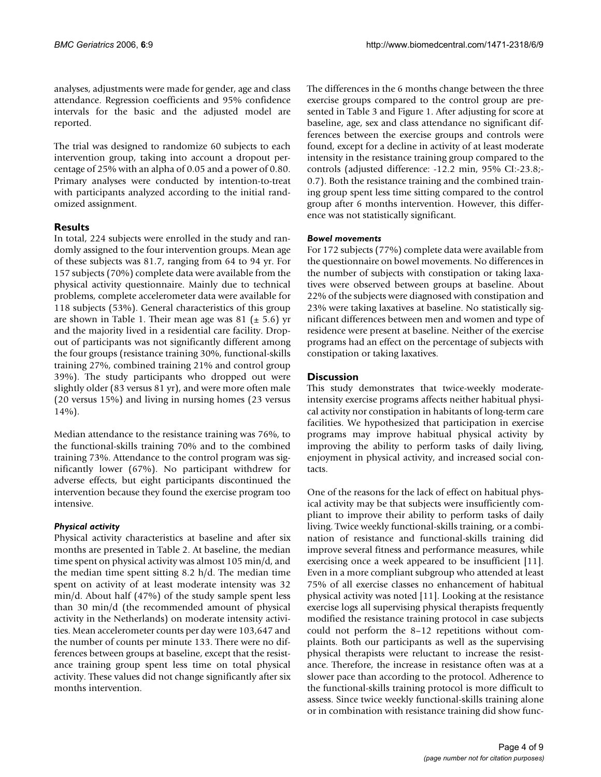analyses, adjustments were made for gender, age and class attendance. Regression coefficients and 95% confidence intervals for the basic and the adjusted model are reported.

The trial was designed to randomize 60 subjects to each intervention group, taking into account a dropout percentage of 25% with an alpha of 0.05 and a power of 0.80. Primary analyses were conducted by intention-to-treat with participants analyzed according to the initial randomized assignment.

# **Results**

In total, 224 subjects were enrolled in the study and randomly assigned to the four intervention groups. Mean age of these subjects was 81.7, ranging from 64 to 94 yr. For 157 subjects (70%) complete data were available from the physical activity questionnaire. Mainly due to technical problems, complete accelerometer data were available for 118 subjects (53%). General characteristics of this group are shown in Table 1. Their mean age was 81 ( $\pm$  5.6) yr and the majority lived in a residential care facility. Dropout of participants was not significantly different among the four groups (resistance training 30%, functional-skills training 27%, combined training 21% and control group 39%). The study participants who dropped out were slightly older (83 versus 81 yr), and were more often male (20 versus 15%) and living in nursing homes (23 versus 14%).

Median attendance to the resistance training was 76%, to the functional-skills training 70% and to the combined training 73%. Attendance to the control program was significantly lower (67%). No participant withdrew for adverse effects, but eight participants discontinued the intervention because they found the exercise program too intensive.

# *Physical activity*

Physical activity characteristics at baseline and after six months are presented in Table 2. At baseline, the median time spent on physical activity was almost 105 min/d, and the median time spent sitting 8.2 h/d. The median time spent on activity of at least moderate intensity was 32 min/d. About half (47%) of the study sample spent less than 30 min/d (the recommended amount of physical activity in the Netherlands) on moderate intensity activities. Mean accelerometer counts per day were 103,647 and the number of counts per minute 133. There were no differences between groups at baseline, except that the resistance training group spent less time on total physical activity. These values did not change significantly after six months intervention.

The differences in the 6 months change between the three exercise groups compared to the control group are presented in Table 3 and Figure 1. After adjusting for score at baseline, age, sex and class attendance no significant differences between the exercise groups and controls were found, except for a decline in activity of at least moderate intensity in the resistance training group compared to the controls (adjusted difference: -12.2 min, 95% CI:-23.8;- 0.7). Both the resistance training and the combined training group spent less time sitting compared to the control group after 6 months intervention. However, this difference was not statistically significant.

## *Bowel movements*

For 172 subjects (77%) complete data were available from the questionnaire on bowel movements. No differences in the number of subjects with constipation or taking laxatives were observed between groups at baseline. About 22% of the subjects were diagnosed with constipation and 23% were taking laxatives at baseline. No statistically significant differences between men and women and type of residence were present at baseline. Neither of the exercise programs had an effect on the percentage of subjects with constipation or taking laxatives.

# **Discussion**

This study demonstrates that twice-weekly moderateintensity exercise programs affects neither habitual physical activity nor constipation in habitants of long-term care facilities. We hypothesized that participation in exercise programs may improve habitual physical activity by improving the ability to perform tasks of daily living, enjoyment in physical activity, and increased social contacts.

One of the reasons for the lack of effect on habitual physical activity may be that subjects were insufficiently compliant to improve their ability to perform tasks of daily living. Twice weekly functional-skills training, or a combination of resistance and functional-skills training did improve several fitness and performance measures, while exercising once a week appeared to be insufficient [11]. Even in a more compliant subgroup who attended at least 75% of all exercise classes no enhancement of habitual physical activity was noted [11]. Looking at the resistance exercise logs all supervising physical therapists frequently modified the resistance training protocol in case subjects could not perform the 8–12 repetitions without complaints. Both our participants as well as the supervising physical therapists were reluctant to increase the resistance. Therefore, the increase in resistance often was at a slower pace than according to the protocol. Adherence to the functional-skills training protocol is more difficult to assess. Since twice weekly functional-skills training alone or in combination with resistance training did show func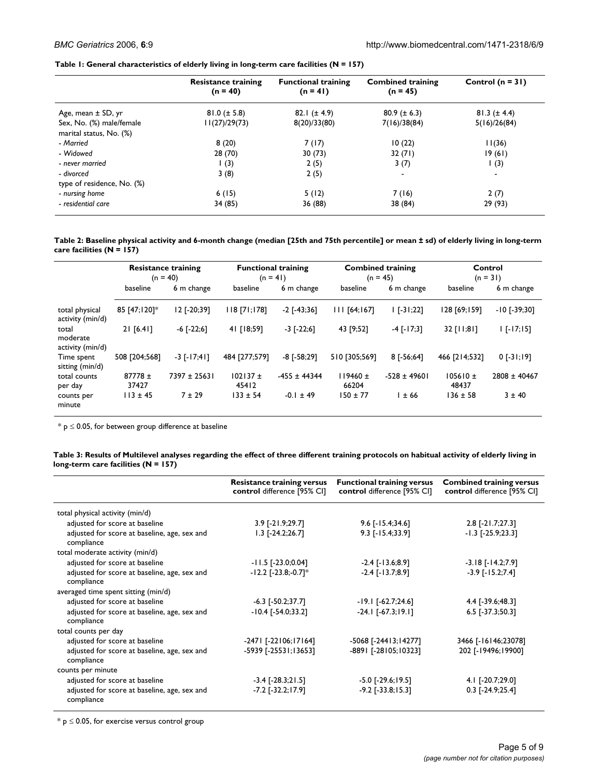**Table 1: General characteristics of elderly living in long-term care facilities (N = 157)**

|                            | <b>Resistance training</b><br>$(n = 40)$ | <b>Functional training</b><br>$(n = 41)$ | <b>Combined training</b><br>$(n = 45)$ | Control $(n = 31)$ |
|----------------------------|------------------------------------------|------------------------------------------|----------------------------------------|--------------------|
| Age, mean $\pm$ SD, yr     | $81.0 (\pm 5.8)$                         | 82.1 $(\pm 4.9)$                         | $80.9 (\pm 6.3)$                       | $81.3 (\pm 4.4)$   |
| Sex, No. (%) male/female   | II(27)/29(73)                            | 8(20)/33(80)                             | 7(16)/38(84)                           | 5(16)/26(84)       |
| marital status, No. (%)    |                                          |                                          |                                        |                    |
| - Married                  | 8(20)                                    | 7(17)                                    | 10(22)                                 | 11(36)             |
| - Widowed                  | 28 (70)                                  | 30(73)                                   | 32(71)                                 | 19(61)             |
| - never married            | 1(3)                                     | 2(5)                                     | 3(7)                                   | 1(3)               |
| - divorced                 | 3(8)                                     | 2(5)                                     | $\overline{\phantom{0}}$               | $\blacksquare$     |
| type of residence, No. (%) |                                          |                                          |                                        |                    |
| - nursing home             | 6(15)                                    | 5(12)                                    | 7(16)                                  | 2(7)               |
| - residential care         | 34 (85)                                  | 36 (88)                                  | 38 (84)                                | 29 (93)            |

**Table 2: Baseline physical activity and 6-month change (median [25th and 75th percentile] or mean ± sd) of elderly living in long-term care facilities (N = 157)**

|                                       | <b>Resistance training</b><br>$(n = 40)$ |                   | <b>Functional training</b><br>$(n = 41)$ |                   | <b>Combined training</b><br>$(n = 45)$ |                  | Control<br>$(n = 31)$ |                    |
|---------------------------------------|------------------------------------------|-------------------|------------------------------------------|-------------------|----------------------------------------|------------------|-----------------------|--------------------|
|                                       | baseline                                 | 6 m change        | baseline                                 | 6 m change        | baseline                               | 6 m change       | baseline              | 6 m change         |
| total physical<br>activity (min/d)    | 85 [47;120]*                             | $12$ [-20;39]     | $118$ [71;178]                           | $-2$ [ $-43;36$ ] | 111 [64;167]                           | $1$ [-31;22]     | 128 [69;159]          | $-10$ [ $-39;30$ ] |
| total<br>moderate<br>activity (min/d) | 21 [6.4]                                 | $-6$ [ $-22:6$ ]  | 41 [18:59]                               | $-3$ [ $-22;6$ ]  | 43 [9;52]                              | $-4$ [ $-17;3$ ] | 32 [11;81]            | $ [-17;15]$        |
| Time spent<br>sitting (min/d)         | 508 [204;568]                            | $-3$ [ $-17;41$ ] | 484 [277;579]                            | $-8$ [ $-58;29$ ] | 510 [305;569]                          | $8$ [-56;64]     | 466 [214;532]         | $0$ [-31;19]       |
| total counts<br>per day               | $87778 \pm$<br>37427                     | $7397 \pm 25631$  | $102137 +$<br>45412                      | $-455 \pm 44344$  | $119460 \pm$<br>66204                  | $-528 \pm 49601$ | $105610 \pm$<br>48437 | $2808 \pm 40467$   |
| counts per<br>minute                  | $113 \pm 45$                             | 7 ± 29            | $133 \pm 54$                             | $-0.1 \pm 49$     | $150 \pm 77$                           | ±66              | $136 \pm 58$          | $3 + 40$           |

 $*$  p  $\leq$  0.05, for between group difference at baseline

**Table 3: Results of Multilevel analyses regarding the effect of three different training protocols on habitual activity of elderly living in long-term care facilities (N = 157)**

|                                                            | <b>Resistance training versus</b><br>control difference [95% CI] | <b>Functional training versus</b><br>control difference [95% CI] | <b>Combined training versus</b><br>control difference [95% CI] |
|------------------------------------------------------------|------------------------------------------------------------------|------------------------------------------------------------------|----------------------------------------------------------------|
| total physical activity (min/d)                            |                                                                  |                                                                  |                                                                |
| adjusted for score at baseline                             | 3.9 [-21.9;29.7]                                                 | $9.6$ [-15.4;34.6]                                               | 2.8 [-21.7;27.3]                                               |
| adjusted for score at baseline, age, sex and<br>compliance | $1.3$ [-24.2;26.7]                                               | $9.3$ [-15.4;33.9]                                               | $-1.3$ [ $-25.9;23.3$ ]                                        |
| total moderate activity (min/d)                            |                                                                  |                                                                  |                                                                |
| adjusted for score at baseline                             | $-11.5$ [ $-23.0;0.04$ ]                                         | $-2.4$ [ $-13.6;8.9$ ]                                           | $-3.18$ [ $-14.2;7.9$ ]                                        |
| adjusted for score at baseline, age, sex and<br>compliance | $-12.2$ [-23.8;-0.7]*                                            | $-2.4$ [ $-13.7;8.9$ ]                                           | $-3.9$ [ $-15.2;7.4$ ]                                         |
| averaged time spent sitting (min/d)                        |                                                                  |                                                                  |                                                                |
| adjusted for score at baseline                             | $-6.3$ [ $-50.2;37.7$ ]                                          | $-19.1$ [ $-62.7;24.6$ ]                                         | 4.4 [-39.6;48.3]                                               |
| adjusted for score at baseline, age, sex and<br>compliance | $-10.4$ [ $-54.0;33.2$ ]                                         | $-24.1$ [ $-67.3$ ; 19.1]                                        | 6.5 $[-37.3;50.3]$                                             |
| total counts per day                                       |                                                                  |                                                                  |                                                                |
| adjusted for score at baseline                             | $-2471$ [ $-22106$ ; 17164]                                      | -5068 [-24413;14277]                                             | 3466 [-16146;23078]                                            |
| adjusted for score at baseline, age, sex and<br>compliance | -5939 [-25531;13653]                                             | -8891 [-28105;10323]                                             | 202 [-19496;19900]                                             |
| counts per minute                                          |                                                                  |                                                                  |                                                                |
| adjusted for score at baseline                             | $-3.4$ [ $-28.3;21.5$ ]                                          | $-5.0$ [ $-29.6$ ; 19.5]                                         | 4.1 [-20.7;29.0]                                               |
| adjusted for score at baseline, age, sex and<br>compliance | $-7.2$ [ $-32.2$ ; 17.9]                                         | $-9.2$ [ $-33.8$ ; 15.3]                                         | $0.3$ [-24.9;25.4]                                             |

 $*$  p  $\leq$  0.05, for exercise versus control group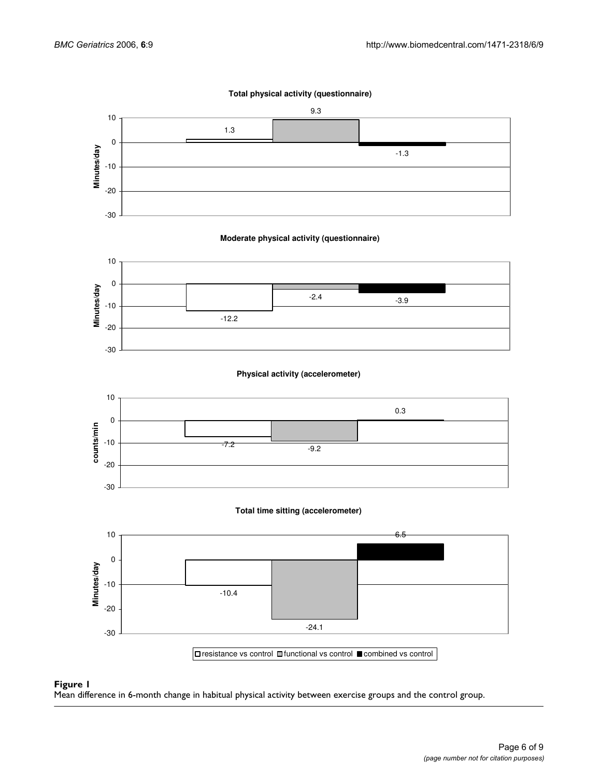

## **Total physical activity (questionnaire)**

#### Mean difference in 6-month change in **Figure 1** habitual physical activity between exercise groups and the control group Mean difference in 6-month change in habitual physical activity between exercise groups and the control group.

Page 6 of 9 *(page number not for citation purposes)*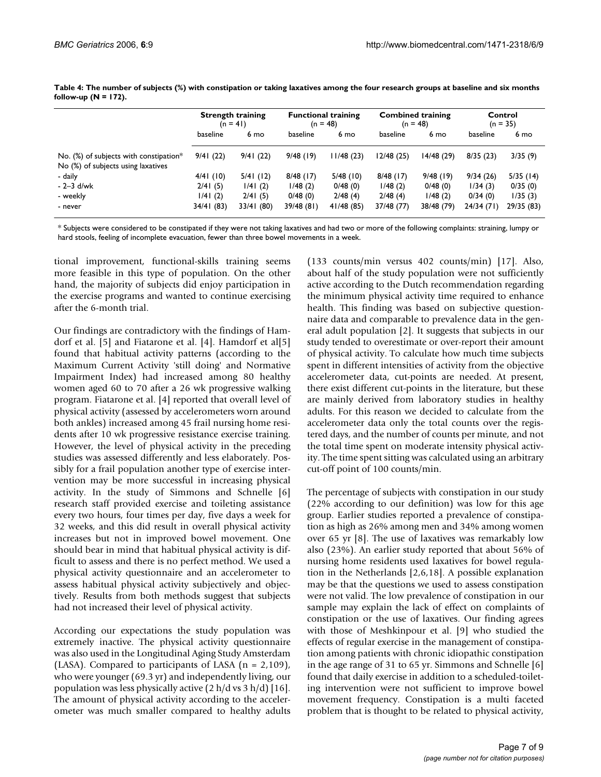|                                                                              | <b>Strength training</b><br>$(n = 41)$ |           | <b>Functional training</b><br>$(n = 48)$ |           | <b>Combined training</b><br>$(n = 48)$ |            | Control<br>$(n = 35)$ |            |
|------------------------------------------------------------------------------|----------------------------------------|-----------|------------------------------------------|-----------|----------------------------------------|------------|-----------------------|------------|
|                                                                              | baseline                               | 6 mo      | baseline                                 | 6 mo      | baseline                               | 6 mo       | baseline              | 6 mo       |
| No. (%) of subjects with constipation*<br>No (%) of subjects using laxatives | 9/41(22)                               | 9/41(22)  | 9/48(19)                                 | 11/48(23) | 12/48(25)                              | 14/48 (29) | 8/35(23)              | 3/35(9)    |
| - daily                                                                      | $4/4$ (10)                             | 5/41(12)  | $8/48$ (17)                              | 5/48(10)  | $8/48$ (17)                            | 9/48(19)   | 9/34(26)              | 5/35(14)   |
| $-2-3$ d/wk                                                                  | 2/41(5)                                | 1/41(2)   | 1/48(2)                                  | 0/48(0)   | 1/48(2)                                | 0/48(0)    | 1/34(3)               | 0/35(0)    |
| - weekly                                                                     | 1/41(2)                                | 2/41(5)   | 0/48(0)                                  | 2/48(4)   | 2/48(4)                                | 1/48(2)    | 0/34(0)               | 1/35(3)    |
| - never                                                                      | 34/41(83)                              | 33/41(80) | 39/48(81)                                | 41/48(85) | 37/48 (77)                             | 38/48 (79) | 24/34(71)             | 29/35 (83) |

**Table 4: The number of subjects (%) with constipation or taking laxatives among the four research groups at baseline and six months follow-up (N = 172).**

\* Subjects were considered to be constipated if they were not taking laxatives and had two or more of the following complaints: straining, lumpy or hard stools, feeling of incomplete evacuation, fewer than three bowel movements in a week.

tional improvement, functional-skills training seems more feasible in this type of population. On the other hand, the majority of subjects did enjoy participation in the exercise programs and wanted to continue exercising after the 6-month trial.

Our findings are contradictory with the findings of Hamdorf et al. [5] and Fiatarone et al. [4]. Hamdorf et al[5] found that habitual activity patterns (according to the Maximum Current Activity 'still doing' and Normative Impairment Index) had increased among 80 healthy women aged 60 to 70 after a 26 wk progressive walking program. Fiatarone et al. [4] reported that overall level of physical activity (assessed by accelerometers worn around both ankles) increased among 45 frail nursing home residents after 10 wk progressive resistance exercise training. However, the level of physical activity in the preceding studies was assessed differently and less elaborately. Possibly for a frail population another type of exercise intervention may be more successful in increasing physical activity. In the study of Simmons and Schnelle [6] research staff provided exercise and toileting assistance every two hours, four times per day, five days a week for 32 weeks, and this did result in overall physical activity increases but not in improved bowel movement. One should bear in mind that habitual physical activity is difficult to assess and there is no perfect method. We used a physical activity questionnaire and an accelerometer to assess habitual physical activity subjectively and objectively. Results from both methods suggest that subjects had not increased their level of physical activity.

According our expectations the study population was extremely inactive. The physical activity questionnaire was also used in the Longitudinal Aging Study Amsterdam (LASA). Compared to participants of LASA  $(n = 2,109)$ , who were younger (69.3 yr) and independently living, our population was less physically active  $(2 h/d \text{ vs } 3 h/d)$  [16]. The amount of physical activity according to the accelerometer was much smaller compared to healthy adults

(133 counts/min versus 402 counts/min) [17]. Also, about half of the study population were not sufficiently active according to the Dutch recommendation regarding the minimum physical activity time required to enhance health. This finding was based on subjective questionnaire data and comparable to prevalence data in the general adult population [2]. It suggests that subjects in our study tended to overestimate or over-report their amount of physical activity. To calculate how much time subjects spent in different intensities of activity from the objective accelerometer data, cut-points are needed. At present, there exist different cut-points in the literature, but these are mainly derived from laboratory studies in healthy adults. For this reason we decided to calculate from the accelerometer data only the total counts over the registered days, and the number of counts per minute, and not the total time spent on moderate intensity physical activity. The time spent sitting was calculated using an arbitrary cut-off point of 100 counts/min.

The percentage of subjects with constipation in our study (22% according to our definition) was low for this age group. Earlier studies reported a prevalence of constipation as high as 26% among men and 34% among women over 65 yr [8]. The use of laxatives was remarkably low also (23%). An earlier study reported that about 56% of nursing home residents used laxatives for bowel regulation in the Netherlands [2,6,18]. A possible explanation may be that the questions we used to assess constipation were not valid. The low prevalence of constipation in our sample may explain the lack of effect on complaints of constipation or the use of laxatives. Our finding agrees with those of Meshkinpour et al. [9] who studied the effects of regular exercise in the management of constipation among patients with chronic idiopathic constipation in the age range of 31 to 65 yr. Simmons and Schnelle [6] found that daily exercise in addition to a scheduled-toileting intervention were not sufficient to improve bowel movement frequency. Constipation is a multi faceted problem that is thought to be related to physical activity,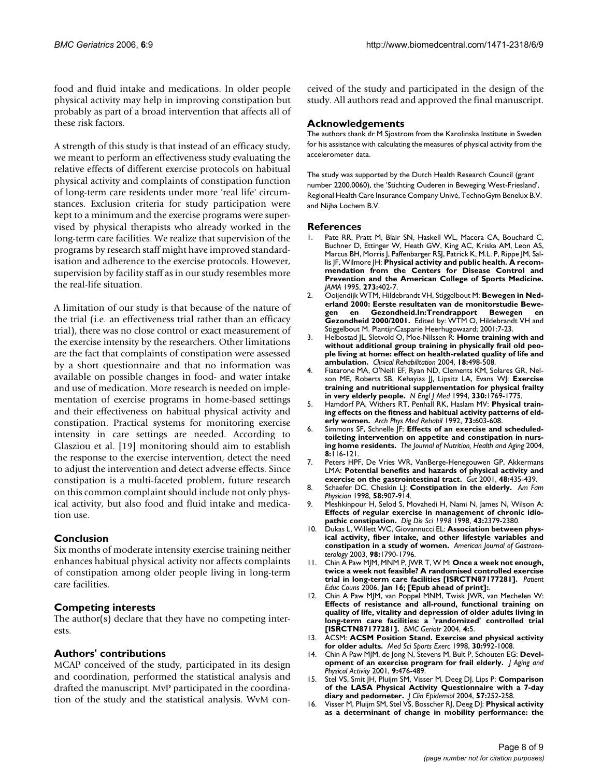food and fluid intake and medications. In older people physical activity may help in improving constipation but probably as part of a broad intervention that affects all of these risk factors.

A strength of this study is that instead of an efficacy study, we meant to perform an effectiveness study evaluating the relative effects of different exercise protocols on habitual physical activity and complaints of constipation function of long-term care residents under more 'real life' circumstances. Exclusion criteria for study participation were kept to a minimum and the exercise programs were supervised by physical therapists who already worked in the long-term care facilities. We realize that supervision of the programs by research staff might have improved standardisation and adherence to the exercise protocols. However, supervision by facility staff as in our study resembles more the real-life situation.

A limitation of our study is that because of the nature of the trial (i.e. an effectiveness trial rather than an efficacy trial), there was no close control or exact measurement of the exercise intensity by the researchers. Other limitations are the fact that complaints of constipation were assessed by a short questionnaire and that no information was available on possible changes in food- and water intake and use of medication. More research is needed on implementation of exercise programs in home-based settings and their effectiveness on habitual physical activity and constipation. Practical systems for monitoring exercise intensity in care settings are needed. According to Glasziou et al. [19] monitoring should aim to establish the response to the exercise intervention, detect the need to adjust the intervention and detect adverse effects. Since constipation is a multi-faceted problem, future research on this common complaint should include not only physical activity, but also food and fluid intake and medication use.

# **Conclusion**

Six months of moderate intensity exercise training neither enhances habitual physical activity nor affects complaints of constipation among older people living in long-term care facilities.

#### **Competing interests**

The author(s) declare that they have no competing interests.

# **Authors' contributions**

MCAP conceived of the study, participated in its design and coordination, performed the statistical analysis and drafted the manuscript. MvP participated in the coordination of the study and the statistical analysis. WvM conceived of the study and participated in the design of the study. All authors read and approved the final manuscript.

#### **Acknowledgements**

The authors thank dr M Sjostrom from the Karolinska Institute in Sweden for his assistance with calculating the measures of physical activity from the accelerometer data.

The study was supported by the Dutch Health Research Council (grant number 2200.0060), the 'Stichting Ouderen in Beweging West-Friesland', Regional Health Care Insurance Company Univé, TechnoGym Benelux B.V. and Nijha Lochem B.V.

#### **References**

- 1. Pate RR, Pratt M, Blair SN, Haskell WL, Macera CA, Bouchard C, Buchner D, Ettinger W, Heath GW, King AC, Kriska AM, Leon AS, Marcus BH, Morris J, Paffenbarger RSJ, Patrick K, M.L. P, Rippe JM, Sallis JF, Wilmore JH: **[Physical activity and public health. A recom](http://www.ncbi.nlm.nih.gov/entrez/query.fcgi?cmd=Retrieve&db=PubMed&dopt=Abstract&list_uids=7823386)[mendation from the Centers for Disease Control and](http://www.ncbi.nlm.nih.gov/entrez/query.fcgi?cmd=Retrieve&db=PubMed&dopt=Abstract&list_uids=7823386) Prevention and the American College of Sports Medicine.** *JAMA* 1995, **273:**402-7.
- 2. Ooijendijk WTM, Hildebrandt VH, Stiggelbout M: **Bewegen in Nederland 2000: Eerste resultaten van de monitorstudie Bewe-**Gezondheid.In:Trendrapport Bewegen en **Gezondheid 2000/2001.** Edited by: WTM O, Hildebrandt VH and Stiggelbout M. PlantijnCasparie Heerhugowaard; 2001:7-23.
- 3. Helbostad JL, Sletvold O, Moe-Nilssen R: **[Home training with and](http://www.ncbi.nlm.nih.gov/entrez/query.fcgi?cmd=Retrieve&db=PubMed&dopt=Abstract&list_uids=15293484) [without additional group training in physically frail old peo](http://www.ncbi.nlm.nih.gov/entrez/query.fcgi?cmd=Retrieve&db=PubMed&dopt=Abstract&list_uids=15293484)ple living at home: effect on health-related quality of life and [ambulation.](http://www.ncbi.nlm.nih.gov/entrez/query.fcgi?cmd=Retrieve&db=PubMed&dopt=Abstract&list_uids=15293484)** *Clinical Rehabilitation* 2004, **18:**498-508.
- 4. Fiatarone MA, O'Neill EF, Ryan ND, Clements KM, Solares GR, Nelson ME, Roberts SB, Kehayias JJ, Lipsitz LA, Evans WJ: **[Exercise](http://www.ncbi.nlm.nih.gov/entrez/query.fcgi?cmd=Retrieve&db=PubMed&dopt=Abstract&list_uids=8190152) [training and nutritional supplementation for physical frailty](http://www.ncbi.nlm.nih.gov/entrez/query.fcgi?cmd=Retrieve&db=PubMed&dopt=Abstract&list_uids=8190152) [in very elderly people.](http://www.ncbi.nlm.nih.gov/entrez/query.fcgi?cmd=Retrieve&db=PubMed&dopt=Abstract&list_uids=8190152)** *N Engl J Med* 1994, **330:**1769-1775.
- 5. Hamdorf PA, Withers RT, Penhall RK, Haslam MV: **[Physical train](http://www.ncbi.nlm.nih.gov/entrez/query.fcgi?cmd=Retrieve&db=PubMed&dopt=Abstract&list_uids=1622313)[ing effects on the fitness and habitual activity patterns of eld](http://www.ncbi.nlm.nih.gov/entrez/query.fcgi?cmd=Retrieve&db=PubMed&dopt=Abstract&list_uids=1622313)[erly women.](http://www.ncbi.nlm.nih.gov/entrez/query.fcgi?cmd=Retrieve&db=PubMed&dopt=Abstract&list_uids=1622313)** *Arch Phys Med Rehabil* 1992, **73:**603-608.
- 6. Simmons SF, Schnelle JF: **Effects of an exercise and scheduledtoileting intervention on appetite and constipation in nursing home residents.** *The Journal of Nutrition, Health and Aging* 2004, **8:**116-121.
- 7. Peters HPF, De Vries WR, VanBerge-Henegouwen GP, Akkermans LMA: **[Potential benefits and hazards of physical activity and](http://www.ncbi.nlm.nih.gov/entrez/query.fcgi?cmd=Retrieve&db=PubMed&dopt=Abstract&list_uids=11171839) [exercise on the gastrointestinal tract.](http://www.ncbi.nlm.nih.gov/entrez/query.fcgi?cmd=Retrieve&db=PubMed&dopt=Abstract&list_uids=11171839)** *Gut* 2001, **48:**435-439.
- 8. Schaefer DC, Cheskin LJ: **[Constipation in the elderly.](http://www.ncbi.nlm.nih.gov/entrez/query.fcgi?cmd=Retrieve&db=PubMed&dopt=Abstract&list_uids=9767726)** *Am Fam Physician* 1998, **58:**907-914.
- 9. Meshkinpour H, Selod S, Movahedi H, Nami N, James N, Wilson A: **Effects of regular exercise in management of chronic idiopathic constipation.** *Dig Dis Sci 1998* 1998, **43:**2379-2380.
- 10. Dukas L, Willett WC, Giovannucci EL: **[Association between phys](http://www.ncbi.nlm.nih.gov/entrez/query.fcgi?cmd=Retrieve&db=PubMed&dopt=Abstract&list_uids=12907334)[ical activity, fiber intake, and other lifestyle variables and](http://www.ncbi.nlm.nih.gov/entrez/query.fcgi?cmd=Retrieve&db=PubMed&dopt=Abstract&list_uids=12907334) [constipation in a study of women.](http://www.ncbi.nlm.nih.gov/entrez/query.fcgi?cmd=Retrieve&db=PubMed&dopt=Abstract&list_uids=12907334)** *American Journal of Gastroenterology* 2003, **98:**1790-1796.
- 11. Chin A Paw MJM, MNM P, JWR T, W M: **Once a week not enough, twice a week not feasible? A randomised controlled exercise trial in long-term care facilities [ISRCTN87177281].** *Patient Educ Couns* 2006, **Jan 16; [Epub ahead of print]:**.
- 12. Chin A Paw MJM, van Poppel MNM, Twisk JWR, van Mechelen W: **[Effects of resistance and all-round, functional training on](http://www.ncbi.nlm.nih.gov/entrez/query.fcgi?cmd=Retrieve&db=PubMed&dopt=Abstract&list_uids=15233841) quality of life, vitality and depression of older adults living in long-term care facilities: a 'randomized' controlled trial [\[ISRCTN87177281\].](http://www.ncbi.nlm.nih.gov/entrez/query.fcgi?cmd=Retrieve&db=PubMed&dopt=Abstract&list_uids=15233841)** *BMC Geriatr* 2004, **4:**5.
- 13. ACSM: **[ACSM Position Stand. Exercise and physical activity](http://www.ncbi.nlm.nih.gov/entrez/query.fcgi?cmd=Retrieve&db=PubMed&dopt=Abstract&list_uids=9624662) [for older adults.](http://www.ncbi.nlm.nih.gov/entrez/query.fcgi?cmd=Retrieve&db=PubMed&dopt=Abstract&list_uids=9624662)** *Med Sci Sports Exerc* 1998, **30:**992-1008.
- 14. Chin A Paw MJM, de Jong N, Stevens M, Bult P, Schouten EG: **Development of an exercise program for frail elderly.** *J Aging and Physical Activity* 2001, **9:**476-489.
- 15. Stel VS, Smit JH, Pluijm SM, Visser M, Deeg DJ, Lips P: **[Comparison](http://www.ncbi.nlm.nih.gov/entrez/query.fcgi?cmd=Retrieve&db=PubMed&dopt=Abstract&list_uids=15066685) [of the LASA Physical Activity Questionnaire with a 7-day](http://www.ncbi.nlm.nih.gov/entrez/query.fcgi?cmd=Retrieve&db=PubMed&dopt=Abstract&list_uids=15066685) [diary and pedometer.](http://www.ncbi.nlm.nih.gov/entrez/query.fcgi?cmd=Retrieve&db=PubMed&dopt=Abstract&list_uids=15066685)** *J Clin Epidemiol* 2004, **57:**252-258.
- 16. Visser M, Pluijm SM, Stel VS, Bosscher RJ, Deeg DJ: **[Physical activity](http://www.ncbi.nlm.nih.gov/entrez/query.fcgi?cmd=Retrieve&db=PubMed&dopt=Abstract&list_uids=12410894) [as a determinant of change in mobility performance: the](http://www.ncbi.nlm.nih.gov/entrez/query.fcgi?cmd=Retrieve&db=PubMed&dopt=Abstract&list_uids=12410894)**